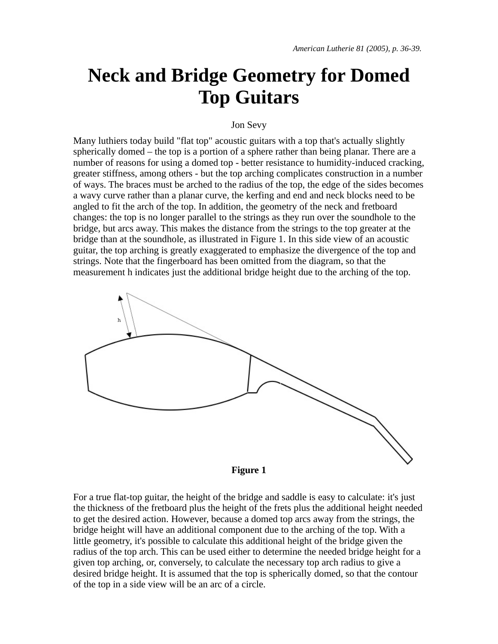# **Neck and Bridge Geometry for Domed Top Guitars**

#### Jon Sevy

Many luthiers today build "flat top" acoustic guitars with a top that's actually slightly spherically domed – the top is a portion of a sphere rather than being planar. There are a number of reasons for using a domed top - better resistance to humidity-induced cracking, greater stiffness, among others - but the top arching complicates construction in a number of ways. The braces must be arched to the radius of the top, the edge of the sides becomes a wavy curve rather than a planar curve, the kerfing and end and neck blocks need to be angled to fit the arch of the top. In addition, the geometry of the neck and fretboard changes: the top is no longer parallel to the strings as they run over the soundhole to the bridge, but arcs away. This makes the distance from the strings to the top greater at the bridge than at the soundhole, as illustrated in Figure 1. In this side view of an acoustic guitar, the top arching is greatly exaggerated to emphasize the divergence of the top and strings. Note that the fingerboard has been omitted from the diagram, so that the measurement h indicates just the additional bridge height due to the arching of the top.





For a true flat-top guitar, the height of the bridge and saddle is easy to calculate: it's just the thickness of the fretboard plus the height of the frets plus the additional height needed to get the desired action. However, because a domed top arcs away from the strings, the bridge height will have an additional component due to the arching of the top. With a little geometry, it's possible to calculate this additional height of the bridge given the radius of the top arch. This can be used either to determine the needed bridge height for a given top arching, or, conversely, to calculate the necessary top arch radius to give a desired bridge height. It is assumed that the top is spherically domed, so that the contour of the top in a side view will be an arc of a circle.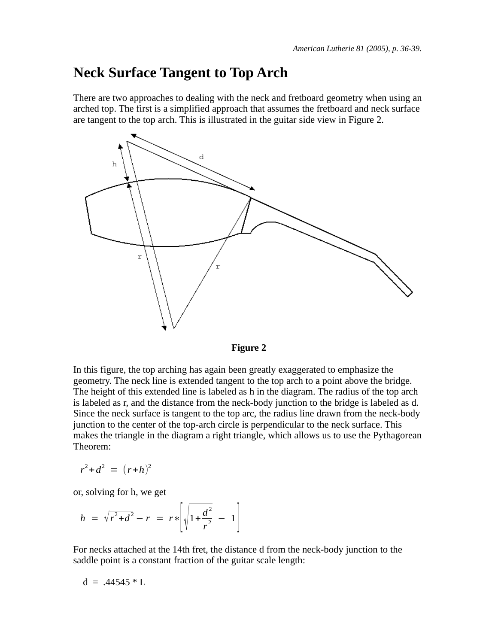### **Neck Surface Tangent to Top Arch**

There are two approaches to dealing with the neck and fretboard geometry when using an arched top. The first is a simplified approach that assumes the fretboard and neck surface are tangent to the top arch. This is illustrated in the guitar side view in Figure 2.



**Figure 2**

In this figure, the top arching has again been greatly exaggerated to emphasize the geometry. The neck line is extended tangent to the top arch to a point above the bridge. The height of this extended line is labeled as h in the diagram. The radius of the top arch is labeled as r, and the distance from the neck-body junction to the bridge is labeled as d. Since the neck surface is tangent to the top arc, the radius line drawn from the neck-body junction to the center of the top-arch circle is perpendicular to the neck surface. This makes the triangle in the diagram a right triangle, which allows us to use the Pythagorean Theorem:

$$
r^2 + d^2 = (r+h)^2
$$

or, solving for h, we get

$$
h = \sqrt{r^2 + d^2} - r = r * \left[ \sqrt{1 + \frac{d^2}{r^2}} - 1 \right]
$$

For necks attached at the 14th fret, the distance d from the neck-body junction to the saddle point is a constant fraction of the guitar scale length:

$$
d = .44545 * L
$$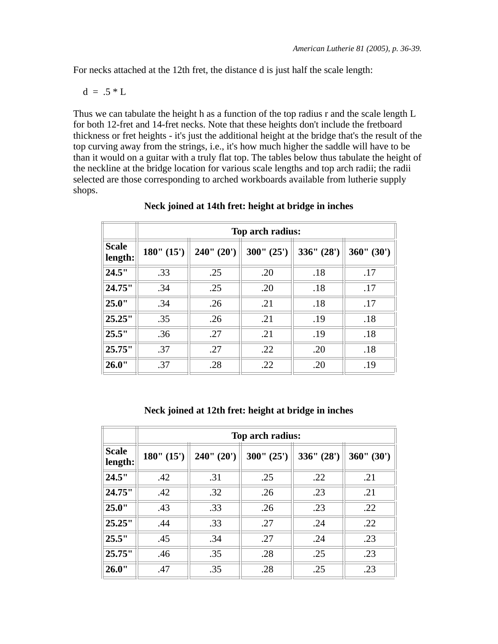For necks attached at the 12th fret, the distance d is just half the scale length:

$$
d = .5 * L
$$

Thus we can tabulate the height h as a function of the top radius r and the scale length L for both 12-fret and 14-fret necks. Note that these heights don't include the fretboard thickness or fret heights - it's just the additional height at the bridge that's the result of the top curving away from the strings, i.e., it's how much higher the saddle will have to be than it would on a guitar with a truly flat top. The tables below thus tabulate the height of the neckline at the bridge location for various scale lengths and top arch radii; the radii selected are those corresponding to arched workboards available from lutherie supply shops.

|                         | Top arch radius: |            |            |            |            |
|-------------------------|------------------|------------|------------|------------|------------|
| <b>Scale</b><br>length: | 180" (15')       | 240" (20') | 300" (25') | 336" (28') | 360" (30') |
| 24.5"                   | .33              | .25        | .20        | .18        | .17        |
| 24.75"                  | .34              | .25        | .20        | .18        | .17        |
| 25.0"                   | .34              | .26        | .21        | .18        | .17        |
| 25.25"                  | .35              | .26        | .21        | .19        | .18        |
| 25.5"                   | .36              | .27        | .21        | .19        | .18        |
| 25.75"                  | .37              | .27        | .22        | .20        | .18        |
| 26.0"                   | .37              | .28        | .22        | .20        | .19        |

### **Neck joined at 14th fret: height at bridge in inches**

### **Neck joined at 12th fret: height at bridge in inches**

|                         | Top arch radius: |            |            |            |            |
|-------------------------|------------------|------------|------------|------------|------------|
| <b>Scale</b><br>length: | 180" (15')       | 240" (20') | 300" (25') | 336" (28') | 360" (30') |
| 24.5"                   | .42              | .31        | .25        | .22        | .21        |
| 24.75"                  | .42              | .32        | .26        | .23        | .21        |
| 25.0"                   | .43              | .33        | .26        | .23        | .22        |
| 25.25"                  | .44              | .33        | .27        | .24        | .22        |
| 25.5"                   | .45              | .34        | .27        | .24        | .23        |
| 25.75"                  | .46              | .35        | .28        | .25        | .23        |
| 26.0"                   | .47              | .35        | .28        | .25        | .23        |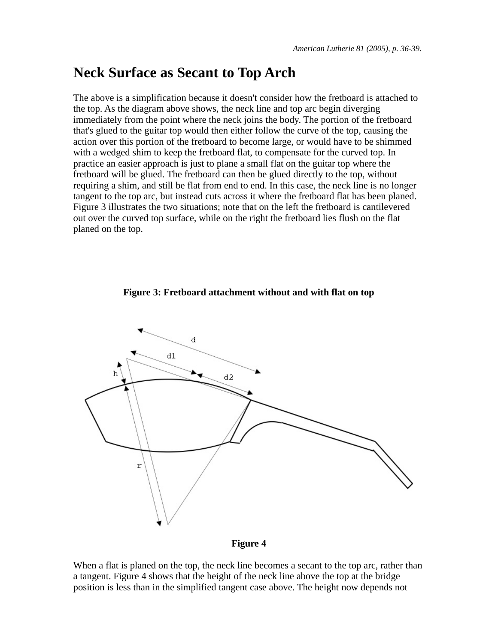## **Neck Surface as Secant to Top Arch**

The above is a simplification because it doesn't consider how the fretboard is attached to the top. As the diagram above shows, the neck line and top arc begin diverging immediately from the point where the neck joins the body. The portion of the fretboard that's glued to the guitar top would then either follow the curve of the top, causing the action over this portion of the fretboard to become large, or would have to be shimmed with a wedged shim to keep the fretboard flat, to compensate for the curved top. In practice an easier approach is just to plane a small flat on the guitar top where the fretboard will be glued. The fretboard can then be glued directly to the top, without requiring a shim, and still be flat from end to end. In this case, the neck line is no longer tangent to the top arc, but instead cuts across it where the fretboard flat has been planed. Figure 3 illustrates the two situations; note that on the left the fretboard is cantilevered out over the curved top surface, while on the right the fretboard lies flush on the flat planed on the top.

### **Figure 3: Fretboard attachment without and with flat on top**





When a flat is planed on the top, the neck line becomes a secant to the top arc, rather than a tangent. Figure 4 shows that the height of the neck line above the top at the bridge position is less than in the simplified tangent case above. The height now depends not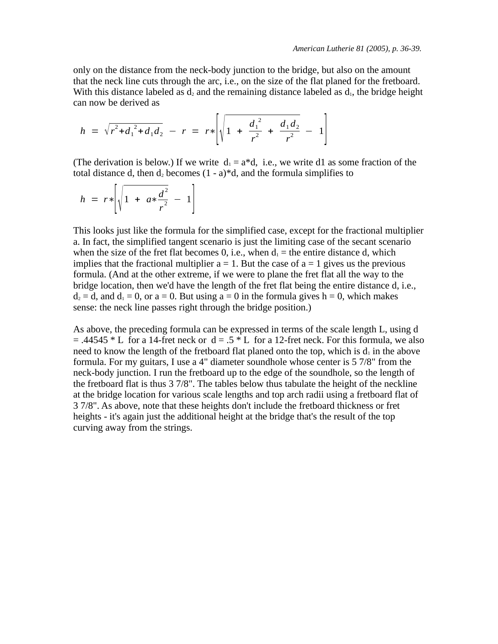only on the distance from the neck-body junction to the bridge, but also on the amount that the neck line cuts through the arc, i.e., on the size of the flat planed for the fretboard. With this distance labeled as  $d_2$  and the remaining distance labeled as  $d_1$ , the bridge height can now be derived as

$$
h = \sqrt{r^2 + d_1^2 + d_1 d_2} - r = r * \left[ \sqrt{1 + \frac{d_1^2}{r^2} + \frac{d_1 d_2}{r^2}} - 1 \right]
$$

(The derivation is below.) If we write  $d_1 = a^*d$ , i.e., we write d1 as some fraction of the total distance d, then  $d_2$  becomes  $(1 - a)^*d$ , and the formula simplifies to

$$
h = r * \left[ \sqrt{1 + a * \frac{d^2}{r^2}} - 1 \right]
$$

This looks just like the formula for the simplified case, except for the fractional multiplier a. In fact, the simplified tangent scenario is just the limiting case of the secant scenario when the size of the fret flat becomes 0, i.e., when  $d_1 =$  the entire distance d, which implies that the fractional multiplier  $a = 1$ . But the case of  $a = 1$  gives us the previous formula. (And at the other extreme, if we were to plane the fret flat all the way to the bridge location, then we'd have the length of the fret flat being the entire distance d, i.e.,  $d_2 = d$ , and  $d_1 = 0$ , or  $a = 0$ . But using  $a = 0$  in the formula gives  $h = 0$ , which makes sense: the neck line passes right through the bridge position.)

As above, the preceding formula can be expressed in terms of the scale length L, using d  $=$  .44545  $*$  L for a 14-fret neck or d = .5  $*$  L for a 12-fret neck. For this formula, we also need to know the length of the fretboard flat planed onto the top, which is  $d_1$  in the above formula. For my guitars, I use a 4" diameter soundhole whose center is 5 7/8" from the neck-body junction. I run the fretboard up to the edge of the soundhole, so the length of the fretboard flat is thus 3 7/8". The tables below thus tabulate the height of the neckline at the bridge location for various scale lengths and top arch radii using a fretboard flat of 3 7/8". As above, note that these heights don't include the fretboard thickness or fret heights - it's again just the additional height at the bridge that's the result of the top curving away from the strings.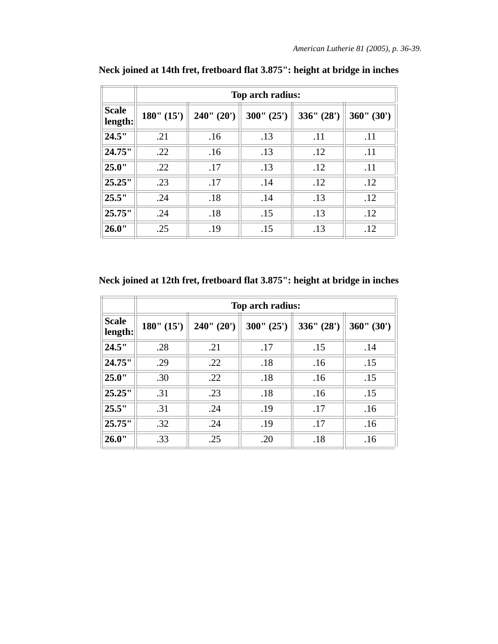|                         | Top arch radius: |            |            |            |            |
|-------------------------|------------------|------------|------------|------------|------------|
| <b>Scale</b><br>length: | 180" (15')       | 240" (20') | 300" (25') | 336" (28') | 360" (30') |
| 24.5"                   | .21              | .16        | .13        | .11        | .11        |
| 24.75"                  | .22              | .16        | .13        | .12        | .11        |
| 25.0"                   | .22              | .17        | .13        | .12        | .11        |
| 25.25"                  | .23              | .17        | .14        | .12        | .12        |
| 25.5"                   | .24              | .18        | .14        | .13        | .12        |
| 25.75"                  | .24              | .18        | .15        | .13        | .12        |
| 26.0"                   | .25              | .19        | .15        | .13        | .12        |

**Neck joined at 14th fret, fretboard flat 3.875": height at bridge in inches**

**Neck joined at 12th fret, fretboard flat 3.875": height at bridge in inches**

|                         | Top arch radius: |            |            |            |            |
|-------------------------|------------------|------------|------------|------------|------------|
| <b>Scale</b><br>length: | 180" (15')       | 240" (20') | 300" (25') | 336" (28') | 360" (30') |
| 24.5"                   | .28              | .21        | .17        | .15        | .14        |
| 24.75"                  | .29              | .22        | .18        | .16        | .15        |
| 25.0"                   | .30              | .22        | .18        | .16        | .15        |
| 25.25"                  | .31              | .23        | .18        | .16        | .15        |
| 25.5"                   | .31              | .24        | .19        | .17        | .16        |
| 25.75"                  | .32              | .24        | .19        | .17        | .16        |
| 26.0"                   | .33              | .25        | .20        | .18        | .16        |